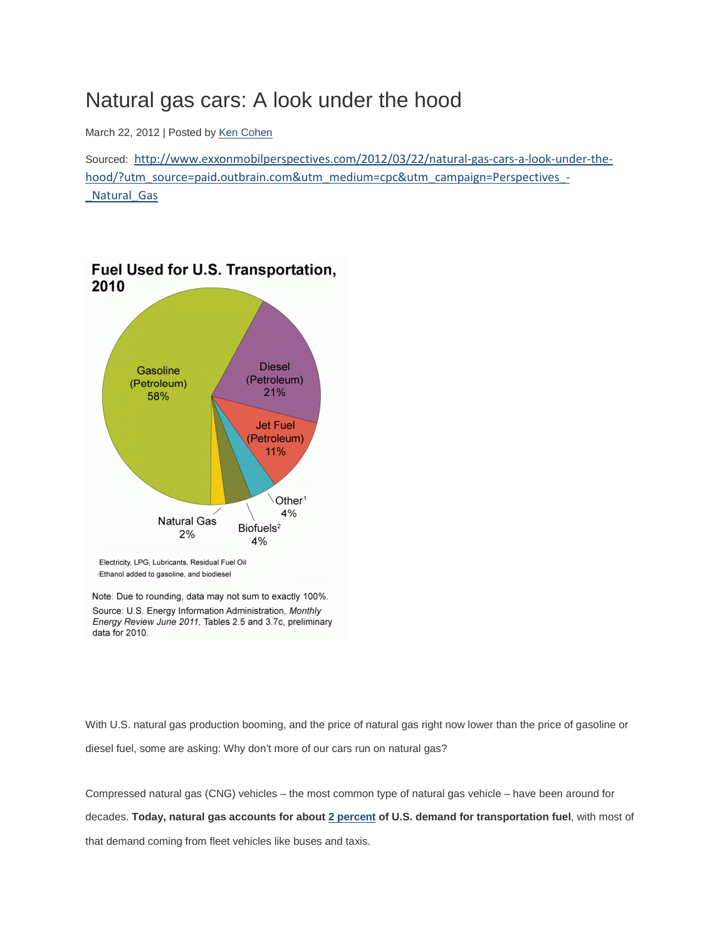## Natural gas cars: A look under the hood

March 22, 2012 | Posted by [Ken Cohen](http://www.exxonmobilperspectives.com/about/#ken)

Sourced: [http://www.exxonmobilperspectives.com/2012/03/22/natural-gas-cars-a-look-under-the](http://www.exxonmobilperspectives.com/2012/03/22/natural-gas-cars-a-look-under-the-hood/?utm_source=paid.outbrain.com&utm_medium=cpc&utm_campaign=Perspectives_-_Natural_Gas)[hood/?utm\\_source=paid.outbrain.com&utm\\_medium=cpc&utm\\_campaign=Perspectives\\_-](http://www.exxonmobilperspectives.com/2012/03/22/natural-gas-cars-a-look-under-the-hood/?utm_source=paid.outbrain.com&utm_medium=cpc&utm_campaign=Perspectives_-_Natural_Gas) Natural Gas



Note: Due to rounding, data may not sum to exactly 100%. Source: U.S. Energy Information Administration, Monthly Energy Review June 2011, Tables 2.5 and 3.7c, preliminary data for 2010.

With U.S. natural gas production booming, and the price of natural gas right now lower than the price of gasoline or diesel fuel, some are asking: Why don't more of our cars run on natural gas?

Compressed natural gas (CNG) vehicles – the most common type of natural gas vehicle – have been around for decades. **Today, natural gas accounts for abou[t 2 percent](http://www.eia.gov/energyexplained/index.cfm?page=us_energy_transportation) of U.S. demand for transportation fuel**, with most of that demand coming from fleet vehicles like buses and taxis.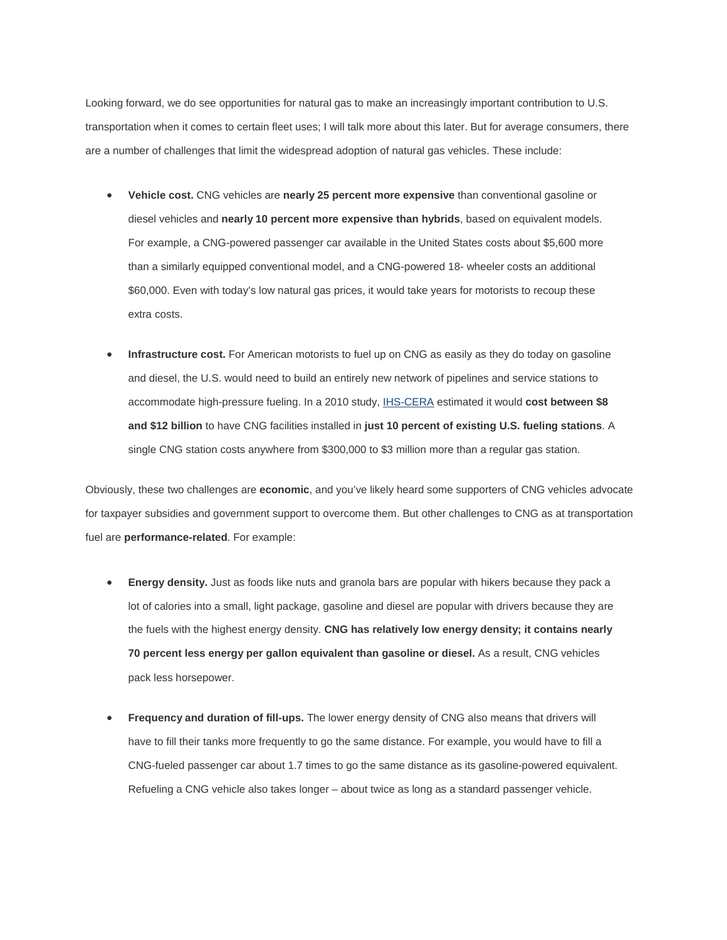Looking forward, we do see opportunities for natural gas to make an increasingly important contribution to U.S. transportation when it comes to certain fleet uses; I will talk more about this later. But for average consumers, there are a number of challenges that limit the widespread adoption of natural gas vehicles. These include:

- **Vehicle cost.** CNG vehicles are **nearly 25 percent more expensive** than conventional gasoline or diesel vehicles and **nearly 10 percent more expensive than hybrids**, based on equivalent models. For example, a CNG-powered passenger car available in the United States costs about \$5,600 more than a similarly equipped conventional model, and a CNG-powered 18- wheeler costs an additional \$60,000. Even with today's low natural gas prices, it would take years for motorists to recoup these extra costs.
- **Infrastructure cost.** For American motorists to fuel up on CNG as easily as they do today on gasoline and diesel, the U.S. would need to build an entirely new network of pipelines and service stations to accommodate high-pressure fueling. In a 2010 study[, IHS-CERA](http://www.ihs.com/products/cera/energy-report.aspx?id=106592603) estimated it would **cost between \$8 and \$12 billion** to have CNG facilities installed in **just 10 percent of existing U.S. fueling stations**. A single CNG station costs anywhere from \$300,000 to \$3 million more than a regular gas station.

Obviously, these two challenges are **economic**, and you've likely heard some supporters of CNG vehicles advocate for taxpayer subsidies and government support to overcome them. But other challenges to CNG as at transportation fuel are **performance-related**. For example:

- **Energy density.** Just as foods like nuts and granola bars are popular with hikers because they pack a lot of calories into a small, light package, gasoline and diesel are popular with drivers because they are the fuels with the highest energy density. **CNG has relatively low energy density; it contains nearly 70 percent less energy per gallon equivalent than gasoline or diesel.** As a result, CNG vehicles pack less horsepower.
- **Frequency and duration of fill-ups.** The lower energy density of CNG also means that drivers will have to fill their tanks more frequently to go the same distance. For example, you would have to fill a CNG-fueled passenger car about 1.7 times to go the same distance as its gasoline-powered equivalent. Refueling a CNG vehicle also takes longer – about twice as long as a standard passenger vehicle.